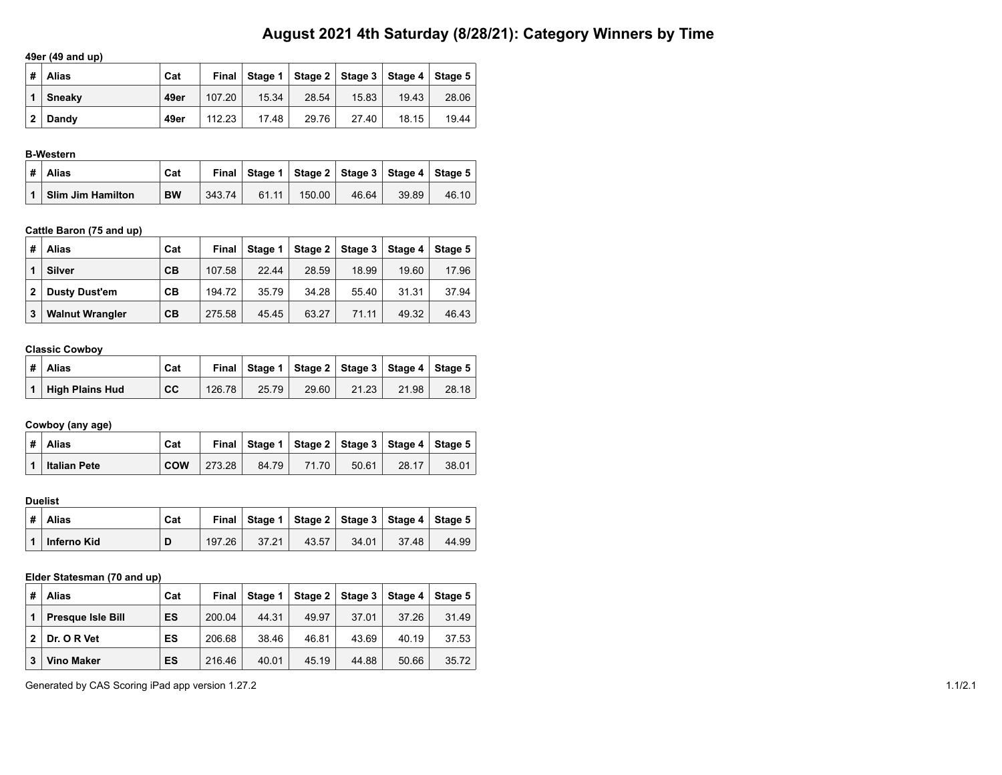# **August 2021 4th Saturday (8/28/21): Category Winners by Time**

## **49er (49 and up)**

| #              | Alias   | Cat  |        |       |       |       | Final   Stage 1   Stage 2   Stage 3   Stage 4   Stage 5 |       |
|----------------|---------|------|--------|-------|-------|-------|---------------------------------------------------------|-------|
| $\blacksquare$ | Sneakv  | 49er | 107.20 | 15.34 | 28.54 | 15.83 | 19.43                                                   | 28.06 |
|                | 2 Dandy | 49er | 112.23 | 17.48 | 29.76 | 27.40 | 18.15                                                   | 19.44 |

### **B-Western**

|              | ∣#∣Alias          | Cat       |        |       |            |       | Final   Stage 1   Stage 2   Stage 3   Stage 4   Stage 5 |       |
|--------------|-------------------|-----------|--------|-------|------------|-------|---------------------------------------------------------|-------|
| $\mathbf{1}$ | Slim Jim Hamilton | <b>BW</b> | 343.74 | 61.11 | $150.00 +$ | 46.64 | 39.89                                                   | 46.10 |

## **Cattle Baron (75 and up)**

| # | <b>Alias</b>           | Cat | Final  | Stage 1 |       | Stage 2   Stage 3   Stage 4 |       | Stage 5 |
|---|------------------------|-----|--------|---------|-------|-----------------------------|-------|---------|
|   | <b>Silver</b>          | CВ  | 107.58 | 22.44   | 28.59 | 18.99                       | 19.60 | 17.96   |
| 2 | <b>Dusty Dust'em</b>   | CВ  | 194.72 | 35.79   | 34.28 | 55.40                       | 31.31 | 37.94   |
| 3 | <b>Walnut Wrangler</b> | CВ  | 275.58 | 45.45   | 63.27 | 71.11                       | 49.32 | 46.43   |

# **Classic Cowboy**

| ∣#∣Alias        | Cat |        |       |       | Final Stage 1   Stage 2   Stage 3   Stage 4   Stage 5 |       |       |
|-----------------|-----|--------|-------|-------|-------------------------------------------------------|-------|-------|
| High Plains Hud | CC  | 126.78 | 25.79 | 29.60 | 21.23                                                 | 21.98 | 28.18 |

### **Cowboy (any age)**

| $\pm$          | <b>Alias</b> | Cat |         |       |       |       |       | Final Stage 1   Stage 2   Stage 3   Stage 4   Stage 5 |
|----------------|--------------|-----|---------|-------|-------|-------|-------|-------------------------------------------------------|
| $\blacksquare$ | Italian Pete | COW | 1273.28 | 84.79 | 71.70 | 50.61 | 28.17 | 38.01                                                 |

#### **Duelist**

| ∣#∣Alias    | Cat |        |       | Final   Stage 1   Stage 2   Stage 3   Stage 4   Stage 5 |       |       |       |
|-------------|-----|--------|-------|---------------------------------------------------------|-------|-------|-------|
| Inferno Kid |     | 197.26 | 37.21 | 43.57                                                   | 34.01 | 37.48 | 44.99 |

### **Elder Statesman (70 and up)**

| # | <b>Alias</b>             | Cat | Final  | Stage 1 |       | Stage $2 \mid$ Stage $3 \mid$ | Stage 4 | Stage 5 |
|---|--------------------------|-----|--------|---------|-------|-------------------------------|---------|---------|
|   | <b>Presque Isle Bill</b> | ES  | 200.04 | 44.31   | 49.97 | 37.01                         | 37.26   | 31.49   |
| 2 | Dr. O R Vet              | ES  | 206.68 | 38.46   | 46.81 | 43.69                         | 40.19   | 37.53   |
| 3 | <b>Vino Maker</b>        | ES  | 216.46 | 40.01   | 45.19 | 44.88                         | 50.66   | 35.72   |

Generated by CAS Scoring iPad app version 1.27.2 1.1/2.1